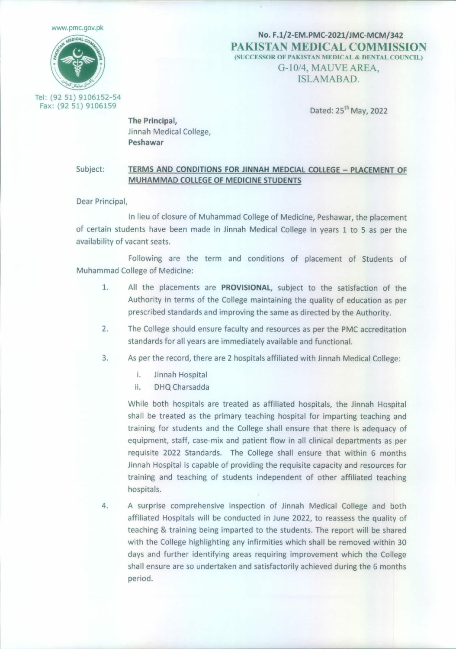[www.pmc.gov.p](http://www.pmc.gov.pk)k



No. F.l/2-EM.PMC-2021/JMC-MCM/342 **PAKISTAN MEDICAL COMMISSION** (SUCCESSOR OF PAKISTAN MEDICAL & DENTAL COUNCIL) G-10/4, MAUVE AREA. ISLAMABAD.

Tel: (92 51) 9106152-54 Fax: (92 51) 9106159

Dated: 25th May, 2022

The Principal, Jinnah Medical College, Peshawar

## Subject: TERMS AND CONDITIONS FOR JINNAH MEDCIAL COLLEGE - PLACEMENT OF MUHAMMAD COLLEGE OF MEDICINE STUDENTS

Dear Principal,

In lieu of closure of Muhammad College of Medicine, Peshawar, the placement of certain students have been made in Jinnah Medical College in years 1 to 5 as per the availability of vacant seats.

Following are the term and conditions of placement of Students of Muhammad College of Medicine:

- 1. All the placements are PROVISIONAL, subject to the satisfaction of the Authority in terms of the College maintaining the quality of education as per prescribed standards and improving the same as directed by the Authority.
- 2. The College should ensure faculty and resources as per the PMC accreditation standards for all years are immediately available and functional.
- 3. Asper the record, there are 2 hospitals affiliated with Jinnah Medical College:
	- i. Jinnah Hospital
	- ii. DHQCharsadda

While both hospitals are treated as affiliated hospitals, the Jinnah Hospital shall be treated as the primary teaching hospital for imparting teaching and training for students and the College shall ensure that there is adequacy of equipment, staff, case-mix and patient flow in all clinical departments as per requisite 2022 Standards. The College shall ensure that within 6 months Jinnah Hospital is capable of providing the requisite capacity and resources for training and teaching of students independent of other affiliated teaching hospitals.

4. A surprise comprehensive inspection of Jinnah Medical College and both affiliated Hospitals will be conducted in June 2022, to reassess the quality of teaching & training being imparted to the students. The report will be shared with the College highlighting any infirmities which shall be removed within 30 days and further identifying areas requiring improvement which the College shall ensure are so undertaken and satisfactorily achieved during the 6 months period.